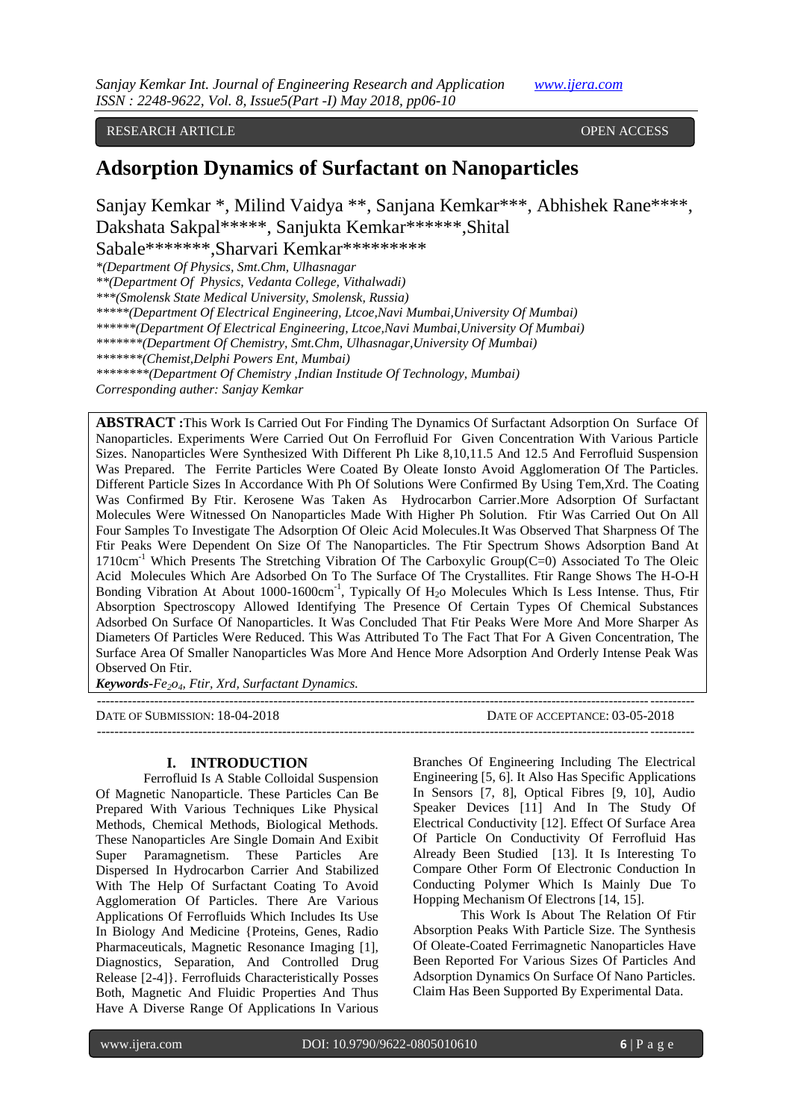RESEARCH ARTICLE **CONSERVERS** OPEN ACCESS

# **Adsorption Dynamics of Surfactant on Nanoparticles**

Sanjay Kemkar \*, Milind Vaidya \*\*, Sanjana Kemkar\*\*\*, Abhishek Rane\*\*\*\*, Dakshata Sakpal\*\*\*\*\*, Sanjukta Kemkar\*\*\*\*\*\*,Shital

Sabale\*\*\*\*\*\*\*,Sharvari Kemkar\*\*\*\*\*\*\*\*\*

*\*(Department Of Physics, Smt.Chm, Ulhasnagar*

*\*\*(Department Of Physics, Vedanta College, Vithalwadi)*

*\*\*\*(Smolensk State Medical University, Smolensk, Russia)*

*\*\*\*\*\*(Department Of Electrical Engineering, Ltcoe,Navi Mumbai,University Of Mumbai)*

*\*\*\*\*\*\*(Department Of Electrical Engineering, Ltcoe,Navi Mumbai,University Of Mumbai)*

*\*\*\*\*\*\*\*(Department Of Chemistry, Smt.Chm, Ulhasnagar,University Of Mumbai)*

*\*\*\*\*\*\*\*(Chemist,Delphi Powers Ent, Mumbai)*

*\*\*\*\*\*\*\*\*(Department Of Chemistry ,Indian Institude Of Technology, Mumbai)*

*Corresponding auther: Sanjay Kemkar*

**ABSTRACT :**This Work Is Carried Out For Finding The Dynamics Of Surfactant Adsorption On Surface Of Nanoparticles. Experiments Were Carried Out On Ferrofluid For Given Concentration With Various Particle Sizes. Nanoparticles Were Synthesized With Different Ph Like 8,10,11.5 And 12.5 And Ferrofluid Suspension Was Prepared. The Ferrite Particles Were Coated By Oleate Ionsto Avoid Agglomeration Of The Particles. Different Particle Sizes In Accordance With Ph Of Solutions Were Confirmed By Using Tem,Xrd. The Coating Was Confirmed By Ftir. Kerosene Was Taken As Hydrocarbon Carrier.More Adsorption Of Surfactant Molecules Were Witnessed On Nanoparticles Made With Higher Ph Solution. Ftir Was Carried Out On All Four Samples To Investigate The Adsorption Of Oleic Acid Molecules.It Was Observed That Sharpness Of The Ftir Peaks Were Dependent On Size Of The Nanoparticles. The Ftir Spectrum Shows Adsorption Band At 1710cm<sup>-1</sup> Which Presents The Stretching Vibration Of The Carboxylic Group(C=0) Associated To The Oleic Acid Molecules Which Are Adsorbed On To The Surface Of The Crystallites. Ftir Range Shows The H-O-H Bonding Vibration At About 1000-1600 $cm^{-1}$ , Typically Of H<sub>2</sub>o Molecules Which Is Less Intense. Thus, Ftir Absorption Spectroscopy Allowed Identifying The Presence Of Certain Types Of Chemical Substances Adsorbed On Surface Of Nanoparticles. It Was Concluded That Ftir Peaks Were More And More Sharper As Diameters Of Particles Were Reduced. This Was Attributed To The Fact That For A Given Concentration, The Surface Area Of Smaller Nanoparticles Was More And Hence More Adsorption And Orderly Intense Peak Was Observed On Ftir.

*Keywords***-***Fe2o4, Ftir, Xrd, Surfactant Dynamics.*

---------------------------------------------------------------------------------------------------------------------------------------

DATE OF SUBMISSION: 18-04-2018 DATE OF ACCEPTANCE: 03-05-2018 ---------------------------------------------------------------------------------------------------------------------------------------

#### **I. INTRODUCTION**

Ferrofluid Is A Stable Colloidal Suspension Of Magnetic Nanoparticle. These Particles Can Be Prepared With Various Techniques Like Physical Methods, Chemical Methods, Biological Methods. These Nanoparticles Are Single Domain And Exibit Super Paramagnetism. These Particles Are Dispersed In Hydrocarbon Carrier And Stabilized With The Help Of Surfactant Coating To Avoid Agglomeration Of Particles. There Are Various Applications Of Ferrofluids Which Includes Its Use In Biology And Medicine {Proteins, Genes, Radio Pharmaceuticals, Magnetic Resonance Imaging [1], Diagnostics, Separation, And Controlled Drug Release [2-4]}. Ferrofluids Characteristically Posses Both, Magnetic And Fluidic Properties And Thus Have A Diverse Range Of Applications In Various

Branches Of Engineering Including The Electrical Engineering [5, 6]. It Also Has Specific Applications In Sensors [7, 8], Optical Fibres [9, 10], Audio Speaker Devices [11] And In The Study Of Electrical Conductivity [12]. Effect Of Surface Area Of Particle On Conductivity Of Ferrofluid Has Already Been Studied [13]. It Is Interesting To Compare Other Form Of Electronic Conduction In Conducting Polymer Which Is Mainly Due To Hopping Mechanism Of Electrons [14, 15].

This Work Is About The Relation Of Ftir Absorption Peaks With Particle Size. The Synthesis Of Oleate-Coated Ferrimagnetic Nanoparticles Have Been Reported For Various Sizes Of Particles And Adsorption Dynamics On Surface Of Nano Particles. Claim Has Been Supported By Experimental Data.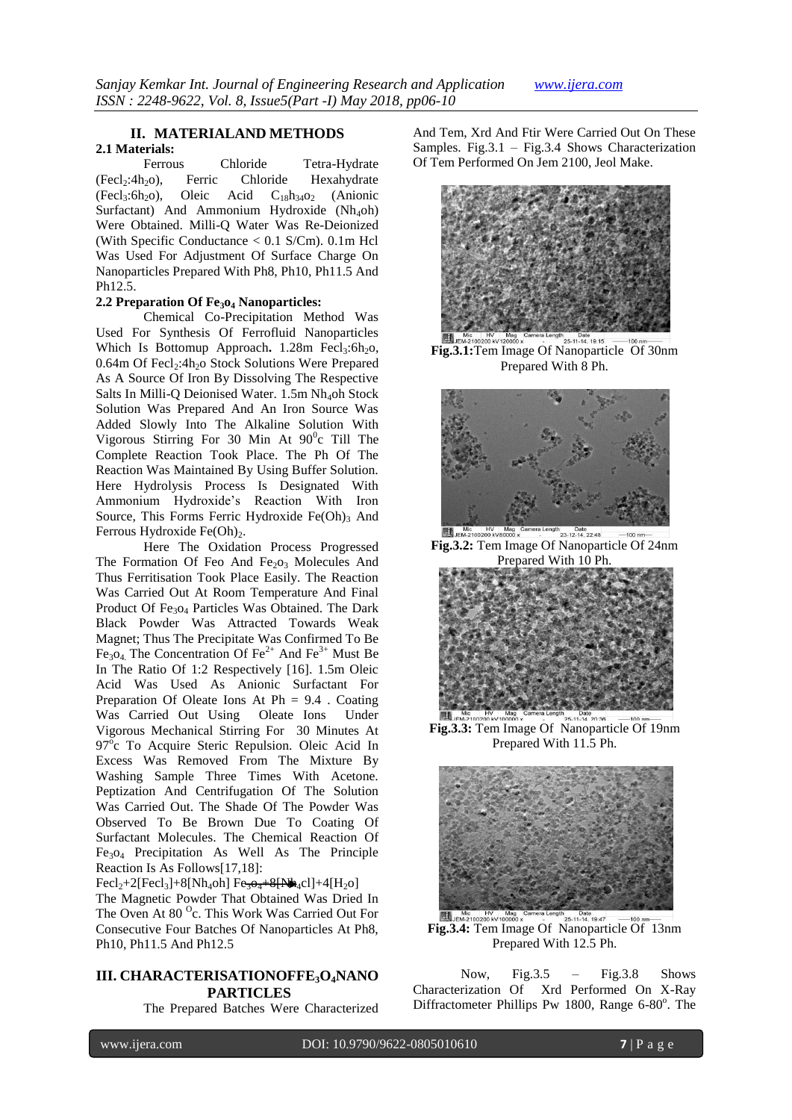### **II. MATERIALAND METHODS 2.1 Materials:**

Ferrous Chloride Tetra-Hydrate (Fecl<sub>2</sub>:4h<sub>2</sub>o), Ferric Chloride Hexahydrate<br>(Fecl<sub>3</sub>:6h<sub>2</sub>o), Oleic Acid C<sub>18</sub>h<sub>34</sub>o<sub>2</sub> (Anionic  $(Fecl<sub>3</sub>:6h<sub>2</sub>O),$ Surfactant) And Ammonium Hydroxide  $(Nh_4$ oh) Were Obtained. Milli-Q Water Was Re-Deionized (With Specific Conductance < 0.1 S/Cm). 0.1m Hcl Was Used For Adjustment Of Surface Charge On Nanoparticles Prepared With Ph8, Ph10, Ph11.5 And Ph12.5.

### **2.2 Preparation Of Fe3o<sup>4</sup> Nanoparticles:**

Chemical Co-Precipitation Method Was Used For Synthesis Of Ferrofluid Nanoparticles Which Is Bottomup Approach. 1.28m Fecl<sub>3</sub>:6h<sub>2</sub>o, 0.64m Of Fecl<sub>2</sub>:4h<sub>2</sub>o Stock Solutions Were Prepared As A Source Of Iron By Dissolving The Respective Salts In Milli-Q Deionised Water. 1.5m Nh<sub>4</sub>oh Stock Solution Was Prepared And An Iron Source Was Added Slowly Into The Alkaline Solution With Vigorous Stirring For 30 Min At  $90^{\circ}$ c Till The Complete Reaction Took Place. The Ph Of The Reaction Was Maintained By Using Buffer Solution. Here Hydrolysis Process Is Designated With Ammonium Hydroxide's Reaction With Iron Source, This Forms Ferric Hydroxide  $Fe(Oh)_3$  And Ferrous Hydroxide Fe $(Oh)<sub>2</sub>$ .

Here The Oxidation Process Progressed The Formation Of Feo And Fe<sub>2</sub>O<sub>3</sub> Molecules And Thus Ferritisation Took Place Easily. The Reaction Was Carried Out At Room Temperature And Final Product Of Fe<sub>3</sub>O<sub>4</sub> Particles Was Obtained. The Dark Black Powder Was Attracted Towards Weak Magnet; Thus The Precipitate Was Confirmed To Be Fe<sub>3</sub>O<sub>4</sub> The Concentration Of Fe<sup>2+</sup> And Fe<sup>3+</sup> Must Be In The Ratio Of 1:2 Respectively [16]. 1.5m Oleic Acid Was Used As Anionic Surfactant For Preparation Of Oleate Ions At Ph = 9.4 . Coating Was Carried Out Using Oleate Ions Under Vigorous Mechanical Stirring For 30 Minutes At 97<sup>o</sup>c To Acquire Steric Repulsion. Oleic Acid In Excess Was Removed From The Mixture By Washing Sample Three Times With Acetone. Peptization And Centrifugation Of The Solution Was Carried Out. The Shade Of The Powder Was Observed To Be Brown Due To Coating Of Surfactant Molecules. The Chemical Reaction Of Fe3o<sup>4</sup> Precipitation As Well As The Principle Reaction Is As Follows[17,18]:

 $Fecl_2+2[Fecl_3]+8[Nh_4oh] Fe<sub>3</sub> +8[Nh_4cl]+4[H_2ol]$ The Magnetic Powder That Obtained Was Dried In The Oven At 80 °c. This Work Was Carried Out For Consecutive Four Batches Of Nanoparticles At Ph8, Ph10, Ph11.5 And Ph12.5

# **III. CHARACTERISATIONOFFE3O4NANO PARTICLES**

The Prepared Batches Were Characterized

And Tem, Xrd And Ftir Were Carried Out On These Samples. Fig.3.1 – Fig.3.4 Shows Characterization Of Tem Performed On Jem 2100, Jeol Make.



**Fig.3.1:**Tem Image Of Nanoparticle Of 30nm Prepared With 8 Ph.



**Fig.3.2:** Tem Image Of Nanoparticle Of 24nm Prepared With 10 Ph.



Date<br>25-11-14. 20:36 **Fig.3.3:** Tem Image Of Nanoparticle Of 19nm Prepared With 11.5 Ph.



**Fig.3.4:** Fig. Hy Michael Conduct a Basic Length and Task 1947 -100 nm Prepared With 12.5 Ph.

Now, Fig.  $3.5 -$  Fig.  $3.8$  Shows Characterization Of Xrd Performed On X-Ray Diffractometer Phillips Pw 1800, Range 6-80°. The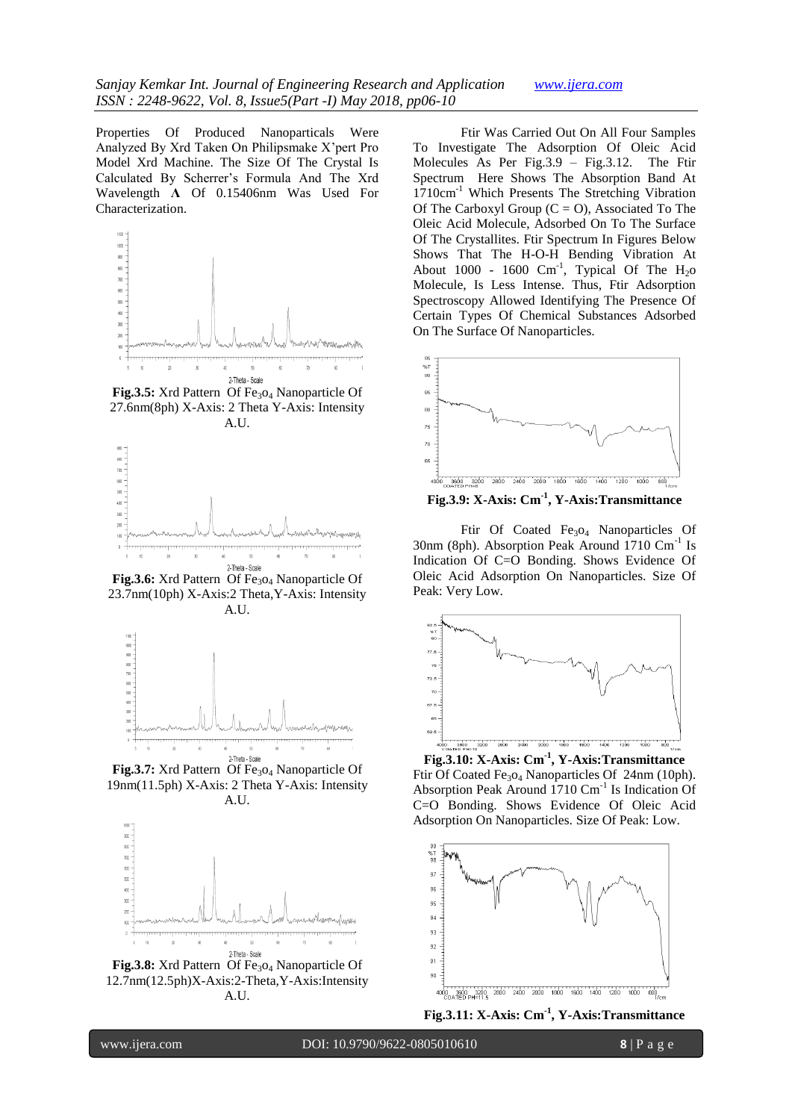Properties Of Produced Nanoparticals Were Analyzed By Xrd Taken On Philipsmake X'pert Pro Model Xrd Machine. The Size Of The Crystal Is Calculated By Scherrer's Formula And The Xrd Wavelength **Λ** Of 0.15406nm Was Used For Characterization.



Fig.3.5: Xrd Pattern Of Fe<sub>3O4</sub> Nanoparticle Of 27.6nm(8ph) X-Axis: 2 Theta Y-Axis: Intensity A.II.



**Fig.3.6:** Xrd Pattern Of Fe<sub>3</sub>O<sub>4</sub> Nanoparticle Of 23.7nm(10ph) X-Axis:2 Theta,Y-Axis: Intensity A.U.



Fig.3.7: Xrd Pattern Of Fe<sub>3</sub>O<sub>4</sub> Nanoparticle Of 19nm(11.5ph) X-Axis: 2 Theta Y-Axis: Intensity A.U.



Fig.3.8: Xrd Pattern Of Fe<sub>3</sub>O<sub>4</sub> Nanoparticle Of 12.7nm(12.5ph)X-Axis:2-Theta,Y-Axis:Intensity A.U.

Ftir Was Carried Out On All Four Samples To Investigate The Adsorption Of Oleic Acid Molecules As Per Fig.3.9 – Fig.3.12. The Ftir Spectrum Here Shows The Absorption Band At 1710cm-1 Which Presents The Stretching Vibration Of The Carboxyl Group  $(C = 0)$ , Associated To The Oleic Acid Molecule, Adsorbed On To The Surface Of The Crystallites. Ftir Spectrum In Figures Below Shows That The H-O-H Bending Vibration At About 1000 - 1600  $\text{Cm}^{-1}$ , Typical Of The H<sub>2</sub>o Molecule, Is Less Intense. Thus, Ftir Adsorption Spectroscopy Allowed Identifying The Presence Of Certain Types Of Chemical Substances Adsorbed On The Surface Of Nanoparticles.



**Fig.3.9: X-Axis: Cm-1 , Y-Axis:Transmittance**

Ftir Of Coated Fe<sub>3</sub>O<sub>4</sub> Nanoparticles Of 30nm (8ph). Absorption Peak Around 1710 Cm<sup>-1</sup> Is Indication Of C=O Bonding. Shows Evidence Of Oleic Acid Adsorption On Nanoparticles. Size Of Peak: Very Low.



**Fig.3.10: X-Axis: Cm-1 , Y-Axis:Transmittance** Ftir Of Coated Fe<sub>3</sub>O<sub>4</sub> Nanoparticles Of 24nm (10ph). Absorption Peak Around 1710 Cm<sup>-1</sup> Is Indication Of C=O Bonding. Shows Evidence Of Oleic Acid Adsorption On Nanoparticles. Size Of Peak: Low.



**Fig.3.11: X-Axis: Cm-1 , Y-Axis:Transmittance**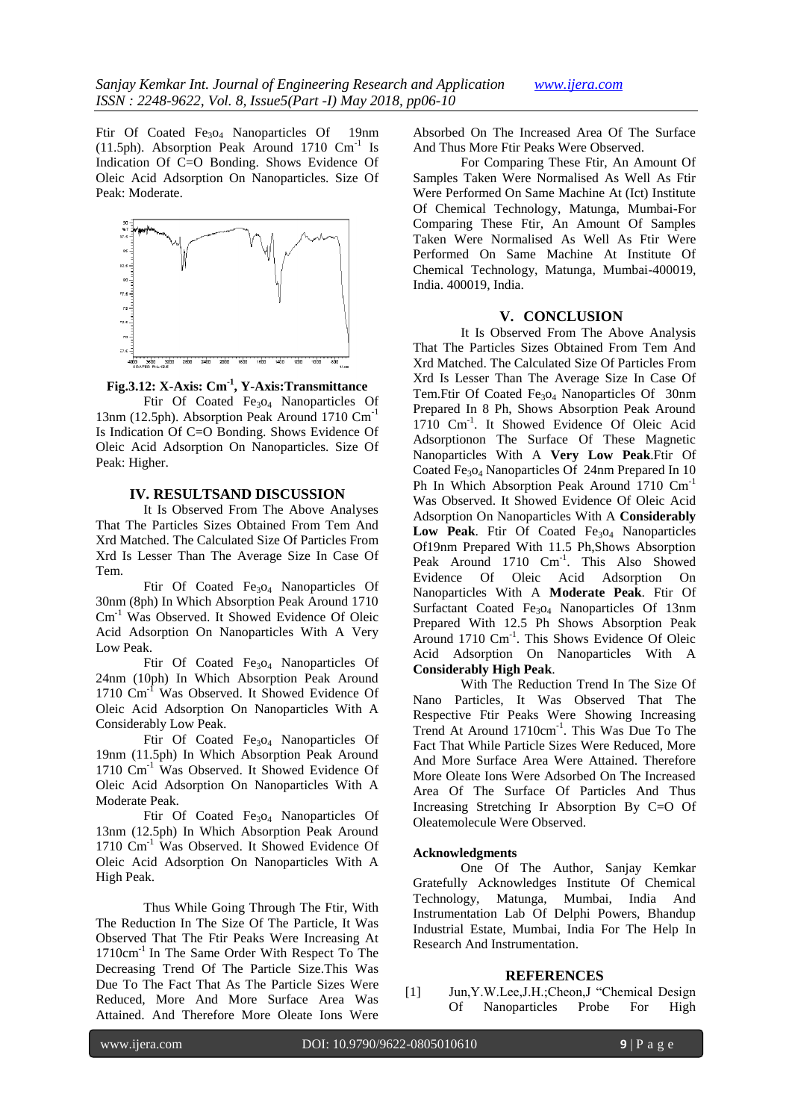Ftir Of Coated Fe<sub>3</sub>O<sub>4</sub> Nanoparticles Of 19nm (11.5ph). Absorption Peak Around 1710  $\text{Cm}^{-1}$  Is Indication Of C=O Bonding. Shows Evidence Of Oleic Acid Adsorption On Nanoparticles. Size Of Peak: Moderate.



**Fig.3.12: X-Axis: Cm-1 , Y-Axis:Transmittance**

Ftir Of Coated Fe<sub>3O4</sub> Nanoparticles Of 13nm (12.5ph). Absorption Peak Around 1710 Cm-1 Is Indication Of C=O Bonding. Shows Evidence Of Oleic Acid Adsorption On Nanoparticles. Size Of Peak: Higher.

### **IV. RESULTSAND DISCUSSION**

It Is Observed From The Above Analyses That The Particles Sizes Obtained From Tem And Xrd Matched. The Calculated Size Of Particles From Xrd Is Lesser Than The Average Size In Case Of Tem.

Ftir Of Coated Fe<sub>3</sub>O<sub>4</sub> Nanoparticles Of 30nm (8ph) In Which Absorption Peak Around 1710 Cm-1 Was Observed. It Showed Evidence Of Oleic Acid Adsorption On Nanoparticles With A Very Low Peak.

Ftir Of Coated Fe<sub>3</sub>O<sub>4</sub> Nanoparticles Of 24nm (10ph) In Which Absorption Peak Around 1710 Cm<sup>-1</sup> Was Observed. It Showed Evidence Of Oleic Acid Adsorption On Nanoparticles With A Considerably Low Peak.

Ftir Of Coated Fe<sub>3</sub>O<sub>4</sub> Nanoparticles Of 19nm (11.5ph) In Which Absorption Peak Around 1710 Cm<sup>-1</sup> Was Observed. It Showed Evidence Of Oleic Acid Adsorption On Nanoparticles With A Moderate Peak.

Ftir Of Coated Fe<sub>3</sub>O<sub>4</sub> Nanoparticles Of 13nm (12.5ph) In Which Absorption Peak Around 1710 Cm<sup>-1</sup> Was Observed. It Showed Evidence Of Oleic Acid Adsorption On Nanoparticles With A High Peak.

Thus While Going Through The Ftir, With The Reduction In The Size Of The Particle, It Was Observed That The Ftir Peaks Were Increasing At 1710cm-1 In The Same Order With Respect To The Decreasing Trend Of The Particle Size.This Was Due To The Fact That As The Particle Sizes Were Reduced, More And More Surface Area Was Attained. And Therefore More Oleate Ions Were

Absorbed On The Increased Area Of The Surface And Thus More Ftir Peaks Were Observed.

For Comparing These Ftir, An Amount Of Samples Taken Were Normalised As Well As Ftir Were Performed On Same Machine At (Ict) Institute Of Chemical Technology, Matunga, Mumbai-For Comparing These Ftir, An Amount Of Samples Taken Were Normalised As Well As Ftir Were Performed On Same Machine At Institute Of Chemical Technology, Matunga, Mumbai-400019, India. 400019, India.

### **V. CONCLUSION**

It Is Observed From The Above Analysis That The Particles Sizes Obtained From Tem And Xrd Matched. The Calculated Size Of Particles From Xrd Is Lesser Than The Average Size In Case Of Tem.Ftir Of Coated Fe<sub>3</sub>O<sub>4</sub> Nanoparticles Of 30nm Prepared In 8 Ph, Shows Absorption Peak Around 1710 Cm<sup>-1</sup>. It Showed Evidence Of Oleic Acid Adsorptionon The Surface Of These Magnetic Nanoparticles With A **Very Low Peak**.Ftir Of Coated Fe<sub>3</sub>O<sub>4</sub> Nanoparticles Of  $24$ nm Prepared In 10 Ph In Which Absorption Peak Around 1710 Cm<sup>-1</sup> Was Observed. It Showed Evidence Of Oleic Acid Adsorption On Nanoparticles With A **Considerably**  Low Peak. Ftir Of Coated Fe<sub>3</sub>O<sub>4</sub> Nanoparticles Of19nm Prepared With 11.5 Ph,Shows Absorption Peak Around 1710 Cm<sup>-1</sup>. This Also Showed Evidence Of Oleic Acid Adsorption On Nanoparticles With A **Moderate Peak**. Ftir Of Surfactant Coated Fe<sub>3</sub>O<sub>4</sub> Nanoparticles Of 13nm Prepared With 12.5 Ph Shows Absorption Peak Around 1710 Cm<sup>-1</sup>. This Shows Evidence Of Oleic Acid Adsorption On Nanoparticles With A **Considerably High Peak**.

With The Reduction Trend In The Size Of Nano Particles, It Was Observed That The Respective Ftir Peaks Were Showing Increasing Trend At Around 1710cm<sup>-1</sup>. This Was Due To The Fact That While Particle Sizes Were Reduced, More And More Surface Area Were Attained. Therefore More Oleate Ions Were Adsorbed On The Increased Area Of The Surface Of Particles And Thus Increasing Stretching Ir Absorption By C=O Of Oleatemolecule Were Observed.

## **Acknowledgments**

One Of The Author, Sanjay Kemkar Gratefully Acknowledges Institute Of Chemical Technology, Matunga, Mumbai, India And Instrumentation Lab Of Delphi Powers, Bhandup Industrial Estate, Mumbai, India For The Help In Research And Instrumentation.

#### **REFERENCES**

[1] Jun,Y.W.Lee,J.H.;Cheon,J "Chemical Design Of Nanoparticles Probe For High